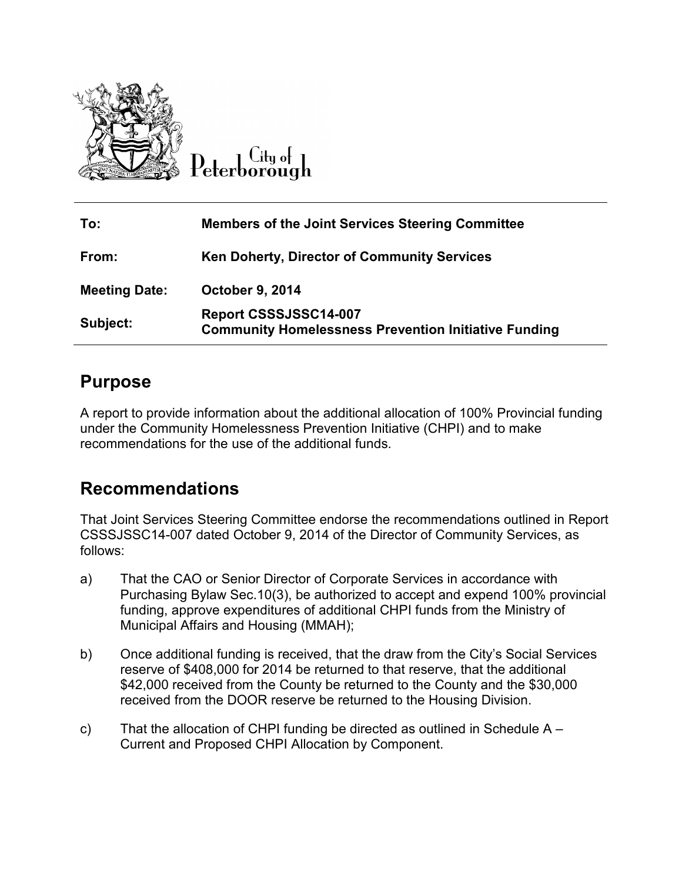

 $Cl<sub>tu</sub>$  of eterborough

| To:                  | <b>Members of the Joint Services Steering Committee</b>                              |
|----------------------|--------------------------------------------------------------------------------------|
| From:                | <b>Ken Doherty, Director of Community Services</b>                                   |
| <b>Meeting Date:</b> | <b>October 9, 2014</b>                                                               |
| Subject:             | Report CSSSJSSC14-007<br><b>Community Homelessness Prevention Initiative Funding</b> |

### **Purpose**

A report to provide information about the additional allocation of 100% Provincial funding under the Community Homelessness Prevention Initiative (CHPI) and to make recommendations for the use of the additional funds.

### **Recommendations**

That Joint Services Steering Committee endorse the recommendations outlined in Report<br>CSSSJSSC14-007 dated October 9, 2014 of the Director of Community Services, as CSSSJSSC14-007 dated October 9, 2014 of the Director of Community Services follows:

- a) That the CAO or Senior Director of Corporate Services in accordance with Purchasing Bylaw Sec.10(3), be authorized to accept and expend 100% provincial funding, approve expenditures of additional CHPI funds from the Ministry of Municipal Affairs and Housing (MMAH); Purchasing Bylaw Sec.10(3), be authorized to accept and expend 100% provincia<br>funding, approve expenditures of additional CHPI funds from the Ministry of<br>Municipal Affairs and Housing (MMAH);<br>Once additional funding is rec rt to provide information about the additional allocation of 100% Provincial funding<br>the Community Homelessness Prevention Initiative (CHPI) and to make<br>mendations for the use of the additional funds.<br> **IMMENT SENCT ALLOTS** ate Services in accordance with<br>d to accept and expend 100% provincia<br>al CHPI funds from the Ministry of<br>ne draw from the City's Social Services
- b) Once additional funding is received, that the draw from the City's Social Services reserve of \$408,000 for 2014 be returned to that reserve, that the additional \$42,000 received from the County be returned to the County and the \$30,000 received from the DOOR reserve be returned to the Housing Division.
- c) That the allocation of CHPI funding be directed as outlined in Schedule  $A -$ Current and Proposed CHPI Allocation by Component.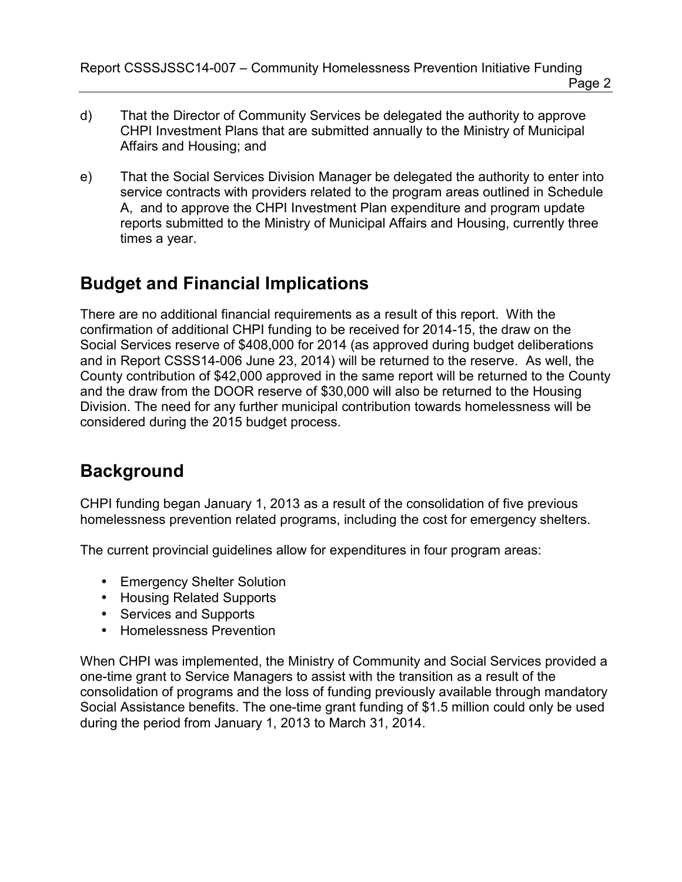Report CSSSJSSC14-007 – Community Homelessness Prevention Initiative Funding Page 2

- d) That the Director of Community Services be delegated the authority to approve CHPI Investment Plans that are submitted annually to the Ministry of Municipal Affairs and Housing; and
- e) That the Social Services Division Manager be delegated the authority to enter into service contracts with providers related to the program areas outlined in Schedule A, and to approve the CHPI Investment Plan expenditure and program update reports submitted to the Ministry of Municipal Affairs and Housing, currently three times a year.

## **Budget and Financial Implications**

There are no additional financial requirements as a result of this report. With the confirmation of additional CHPI funding to be received for 2014-15, the draw on the Social Services reserve of \$408,000 for 2014 (as approved during budget deliberations and in Report CSSS14-006 June 23, 2014) will be returned to the reserve. As well, the County contribution of \$42,000 approved in the same report will be returned to the County and the draw from the DOOR reserve of \$30,000 will also be returned to the Housing Division. The need for any further municipal contribution towards homelessness will be considered during the 2015 budget process.

## **Background**

CHPI funding began January 1, 2013 as a result of the consolidation of five previous homelessness prevention related programs, including the cost for emergency shelters.

The current provincial guidelines allow for expenditures in four program areas:

- Emergency Shelter Solution
- Housing Related Supports
- Services and Supports
- Homelessness Prevention

When CHPI was implemented, the Ministry of Community and Social Services provided a one-time grant to Service Managers to assist with the transition as a result of the consolidation of programs and the loss of funding previously available through mandatory Social Assistance benefits. The one-time grant funding of \$1.5 million could only be used during the period from January 1, 2013 to March 31, 2014.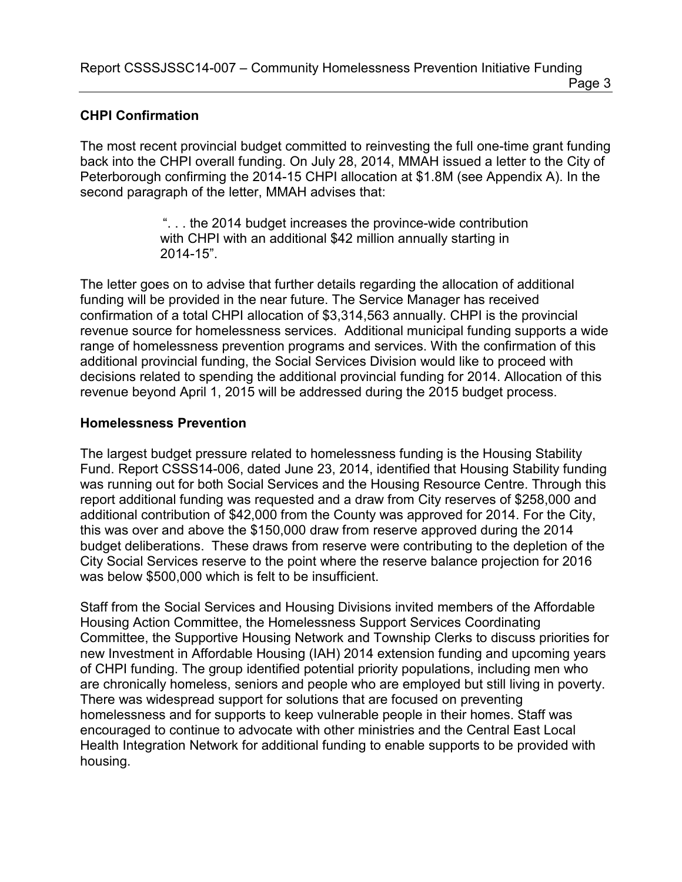Report CSSSJSSC14-007 – Community Homelessness Prevention Initiative Funding Page 3

#### **CHPI Confirmation**

The most recent provincial budget committed to reinvesting the full one-time grant funding back into the CHPI overall funding. On July 28, 2014, MMAH issued a letter to the City of Peterborough confirming the 2014-15 CHPI allocation at \$1.8M (see Appendix A). In the second paragraph of the letter, MMAH advises that:

> ". . . the 2014 budget increases the province-wide contribution with CHPI with an additional \$42 million annually starting in 2014-15".

The letter goes on to advise that further details regarding the allocation of additional funding will be provided in the near future. The Service Manager has received confirmation of a total CHPI allocation of \$3,314,563 annually. CHPI is the provincial revenue source for homelessness services. Additional municipal funding supports a wide range of homelessness prevention programs and services. With the confirmation of this additional provincial funding, the Social Services Division would like to proceed with decisions related to spending the additional provincial funding for 2014. Allocation of this revenue beyond April 1, 2015 will be addressed during the 2015 budget process.

#### **Homelessness Prevention**

The largest budget pressure related to homelessness funding is the Housing Stability Fund. Report CSSS14-006, dated June 23, 2014, identified that Housing Stability funding was running out for both Social Services and the Housing Resource Centre. Through this report additional funding was requested and a draw from City reserves of \$258,000 and additional contribution of \$42,000 from the County was approved for 2014. For the City, this was over and above the \$150,000 draw from reserve approved during the 2014 budget deliberations. These draws from reserve were contributing to the depletion of the City Social Services reserve to the point where the reserve balance projection for 2016 was below \$500,000 which is felt to be insufficient.

Staff from the Social Services and Housing Divisions invited members of the Affordable Housing Action Committee, the Homelessness Support Services Coordinating Committee, the Supportive Housing Network and Township Clerks to discuss priorities for new Investment in Affordable Housing (IAH) 2014 extension funding and upcoming years of CHPI funding. The group identified potential priority populations, including men who are chronically homeless, seniors and people who are employed but still living in poverty. There was widespread support for solutions that are focused on preventing homelessness and for supports to keep vulnerable people in their homes. Staff was encouraged to continue to advocate with other ministries and the Central East Local Health Integration Network for additional funding to enable supports to be provided with housing.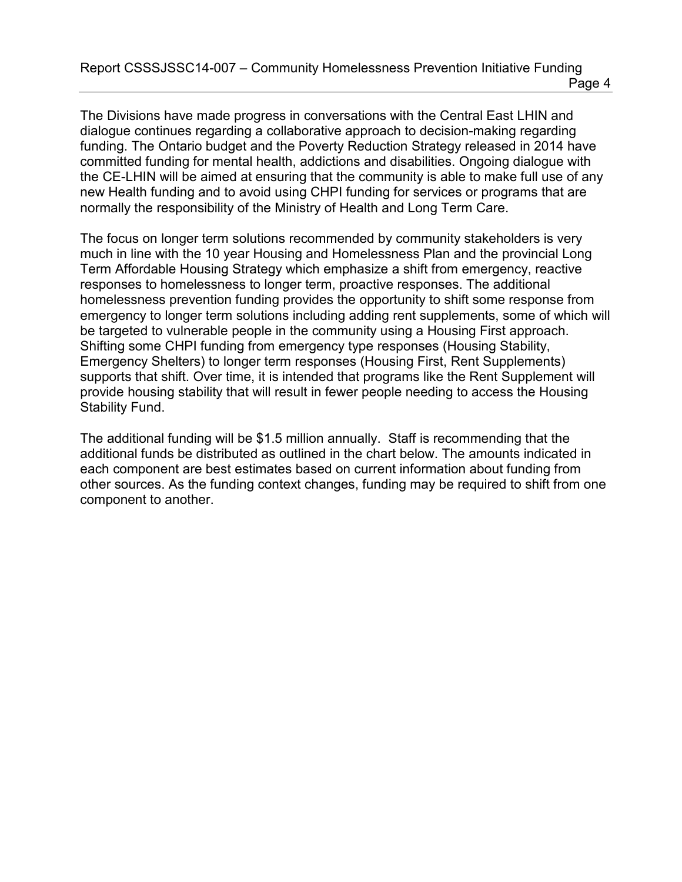The Divisions have made progress in conversations with the Central East LHIN and dialogue continues regarding a collaborative approach to decision-making regarding funding. The Ontario budget and the Poverty Reduction Strategy released in 2014 have committed funding for mental health, addictions and disabilities. Ongoing dialogue with the CE-LHIN will be aimed at ensuring that the community is able to make full use of any new Health funding and to avoid using CHPI funding for services or programs that are normally the responsibility of the Ministry of Health and Long Term Care.

The focus on longer term solutions recommended by community stakeholders is very much in line with the 10 year Housing and Homelessness Plan and the provincial Long Term Affordable Housing Strategy which emphasize a shift from emergency, reactive responses to homelessness to longer term, proactive responses. The additional homelessness prevention funding provides the opportunity to shift some response from emergency to longer term solutions including adding rent supplements, some of which will be targeted to vulnerable people in the community using a Housing First approach. Shifting some CHPI funding from emergency type responses (Housing Stability, Emergency Shelters) to longer term responses (Housing First, Rent Supplements) supports that shift. Over time, it is intended that programs like the Rent Supplement will provide housing stability that will result in fewer people needing to access the Housing Stability Fund.

The additional funding will be \$1.5 million annually. Staff is recommending that the additional funds be distributed as outlined in the chart below. The amounts indicated in each component are best estimates based on current information about funding from other sources. As the funding context changes, funding may be required to shift from one component to another.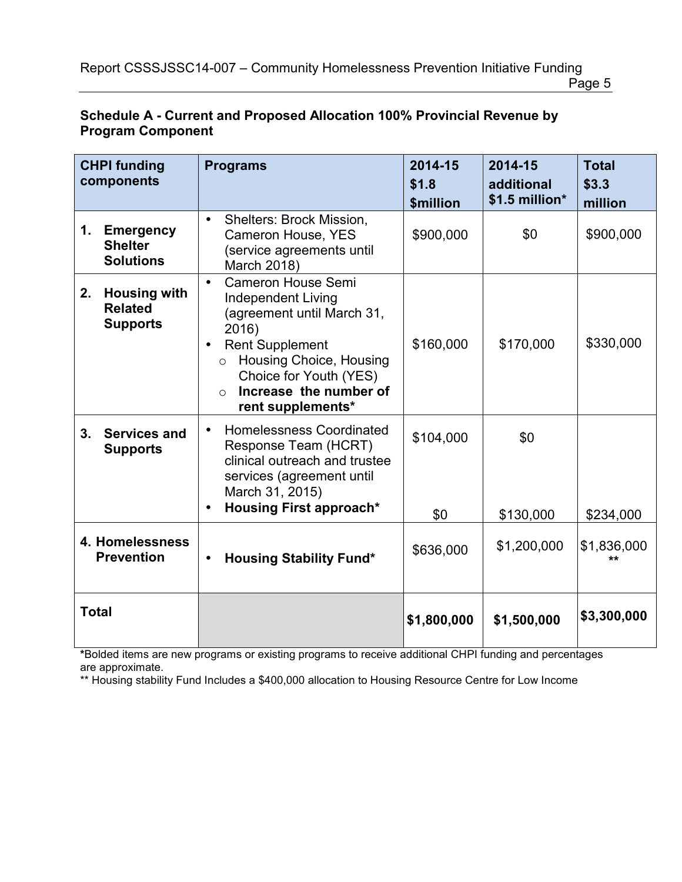Page 5

| <b>CHPI funding</b><br>components    |                                                          | <b>Programs</b>                                                                                                                                                                                                                                            | 2014-15<br>\$1.8<br><b>\$million</b> | 2014-15<br>additional<br>\$1.5 million* | <b>Total</b><br>\$3.3<br>million |
|--------------------------------------|----------------------------------------------------------|------------------------------------------------------------------------------------------------------------------------------------------------------------------------------------------------------------------------------------------------------------|--------------------------------------|-----------------------------------------|----------------------------------|
| 1.                                   | <b>Emergency</b><br><b>Shelter</b><br><b>Solutions</b>   | <b>Shelters: Brock Mission,</b><br>$\bullet$<br>Cameron House, YES<br>(service agreements until<br>March 2018)                                                                                                                                             | \$900,000                            | \$0                                     | \$900,000                        |
| 2.                                   | <b>Housing with</b><br><b>Related</b><br><b>Supports</b> | <b>Cameron House Semi</b><br>$\bullet$<br>Independent Living<br>(agreement until March 31,<br>2016)<br><b>Rent Supplement</b><br>Housing Choice, Housing<br>$\circ$<br>Choice for Youth (YES)<br>Increase the number of<br>$\bigcirc$<br>rent supplements* | \$160,000                            | \$170,000                               | \$330,000                        |
| 3 <sub>1</sub>                       | <b>Services and</b><br><b>Supports</b>                   | <b>Homelessness Coordinated</b><br>$\bullet$<br>Response Team (HCRT)<br>clinical outreach and trustee<br>services (agreement until<br>March 31, 2015)<br><b>Housing First approach*</b><br>$\bullet$                                                       | \$104,000                            | \$0                                     |                                  |
| 4. Homelessness<br><b>Prevention</b> |                                                          |                                                                                                                                                                                                                                                            | \$0                                  | \$130,000<br>\$1,200,000                | \$234,000<br>\$1,836,000         |
|                                      |                                                          | <b>Housing Stability Fund*</b><br>$\bullet$                                                                                                                                                                                                                | \$636,000                            |                                         | $+ +$                            |
| <b>Total</b>                         |                                                          |                                                                                                                                                                                                                                                            | \$1,800,000                          | \$1,500,000                             | \$3,300,000                      |

#### **Schedule A - Current and Proposed Allocation 100% Provincial Revenue by Program Component**

**\***Bolded items are new programs or existing programs to receive additional CHPI funding and percentages are approximate.

\*\* Housing stability Fund Includes a \$400,000 allocation to Housing Resource Centre for Low Income